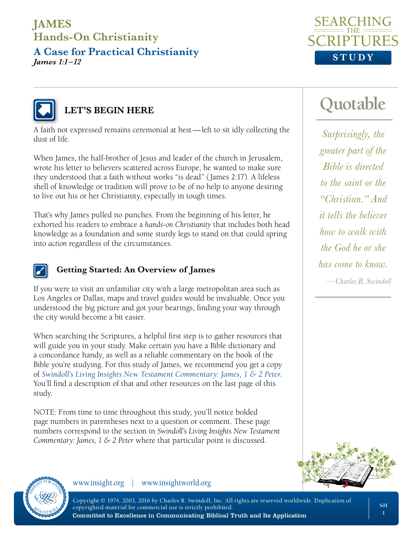**A Case for Practical Christianity** *James 1:1 –12*





#### **LET'S BEGIN HERE**

A faith not expressed remains ceremonial at best—left to sit idly collecting the dust of life.

When James, the half-brother of Jesus and leader of the church in Jerusalem, wrote his letter to believers scattered across Europe, he wanted to make sure they understood that a faith without works "is dead" (James 2:17). A lifeless shell of knowledge or tradition will prove to be of no help to anyone desiring to live out his or her Christianity, especially in tough times.

That's why James pulled no punches. From the beginning of his letter, he exhorted his readers to embrace a *hands-on Christianity* that includes both head knowledge as a foundation and some sturdy legs to stand on that could spring into *action* regardless of the circumstances.



#### **Getting Started: An Overview of James**

If you were to visit an unfamiliar city with a large metropolitan area such as Los Angeles or Dallas, maps and travel guides would be invaluable. Once you understood the big picture and got your bearings, finding your way through the city would become a bit easier.

When searching the Scriptures, a helpful first step is to gather resources that will guide you in your study. Make certain you have a Bible dictionary and a concordance handy, as well as a reliable commentary on the book of the Bible you're studying. For this study of James, we recommend you get a copy of *[Swindoll's Living Insights New Testament Commentary: James, 1 & 2 Peter](https://store.insight.org/p-1260-swindolls-living-insights-new-testament-commentary-james-1-2-peter-emby-charles-r-swindollem.aspx)*. You'll find a description of that and other resources on the last page of this study.

NOTE: From time to time throughout this study, you'll notice bolded page numbers in parentheses next to a question or comment. These page numbers correspond to the section in *Swindoll's Living Insights New Testament Commentary: James, 1 & 2 Peter* where that particular point is discussed.





www.insight.org | www.insightworld.org

Copyright © 1974, 2003, 2016 by Charles R. Swindoll, Inc. All rights are reserved worldwide. Duplication of copyrighted material for commercial use is strictly prohibited. Committed to Excellence in Communicating Biblical Truth and Its Application

# **Quotable**

*Surprisingly, the greater part of the Bible is directed to the saint or the "Christian." And it tells the believer how to walk with the God he or she has come to know. —Charles R. Swindoll*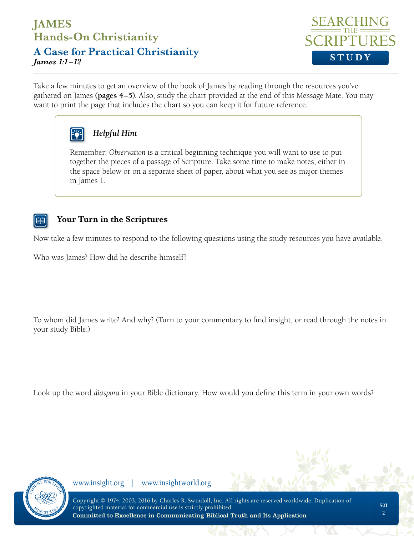**A Case for Practical Christianity** *James 1:1 –12* **STUDY**



Take a few minutes to get an overview of the book of James by reading through the resources you've gathered on James **(pages 4–5)**. Also, study the chart provided at the end of this Message Mate. You may want to print the page that includes the chart so you can keep it for future reference.



#### *Helpful Hint*

Remember: *Observation* is a critical beginning technique you will want to use to put together the pieces of a passage of Scripture. Take some time to make notes, either in the space below or on a separate sheet of paper, about what you see as major themes in James 1.

#### **Your Turn in the Scriptures**

Now take a few minutes to respond to the following questions using the study resources you have available.

Who was James? How did he describe himself?

To whom did James write? And why? (Turn to your commentary to find insight, or read through the notes in your study Bible.)

Look up the word *diaspora* in your Bible dictionary. How would you define this term in your own words?

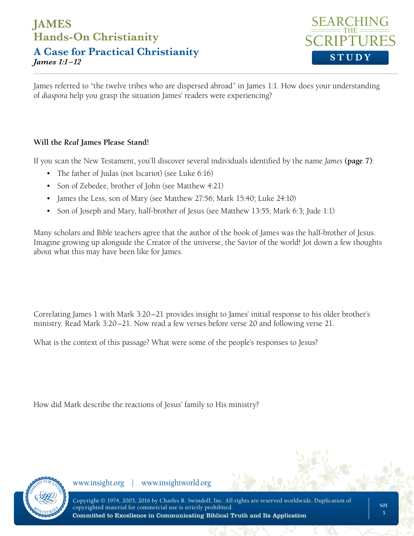**A Case for Practical Christianity** *James 1:1 –12* **STUDY**



James referred to "the twelve tribes who are dispersed abroad" in James 1:1. How does your understanding of *diaspora* help you grasp the situation James' readers were experiencing?

#### **Will the** *Real* **James Please Stand!**

If you scan the New Testament, you'll discover several individuals identified by the name *James* **(page 7)**:

- The father of Judas (not Iscariot) (see Luke 6:16)
- Son of Zebedee, brother of John (see Matthew 4:21)
- James the Less, son of Mary (see Matthew 27:56; Mark 15:40; Luke 24:10)
- Son of Joseph and Mary, half-brother of Jesus (see Matthew 13:55; Mark 6:3; Jude 1:1)

Many scholars and Bible teachers agree that the author of the book of James was the half-brother of Jesus. Imagine growing up alongside the Creator of the universe, the Savior of the world! Jot down a few thoughts about what this may have been like for James.

Correlating James 1 with Mark 3:20–21 provides insight to James' initial response to his older brother's ministry. Read Mark 3:20–21. Now read a few verses before verse 20 and following verse 21.

What is the context of this passage? What were some of the people's responses to Jesus?

How did Mark describe the reactions of Jesus' family to His ministry?

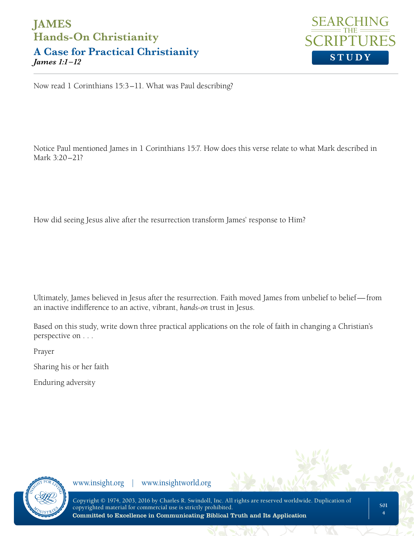**A Case for Practical Christianity** *James 1:1 –12* **STUDY**



Now read 1 Corinthians 15:3–11. What was Paul describing?

Notice Paul mentioned James in 1 Corinthians 15:7. How does this verse relate to what Mark described in Mark 3:20–21?

How did seeing Jesus alive after the resurrection transform James' response to Him?

Ultimately, James believed in Jesus after the resurrection. Faith moved James from unbelief to belief—from an inactive indifference to an active, vibrant, *hands-on* trust in Jesus.

Based on this study, write down three practical applications on the role of faith in changing a Christian's perspective on . . .

Prayer

Sharing his or her faith

Enduring adversity

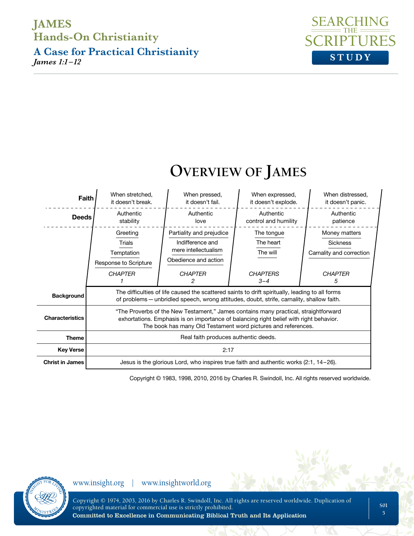**A Case for Practical Christianity** *James 1:1 –12* **STUDY**





Copyright © 1983, 1998, 2010, 2016 by Charles R. Swindoll, Inc. All rights reserved worldwide.